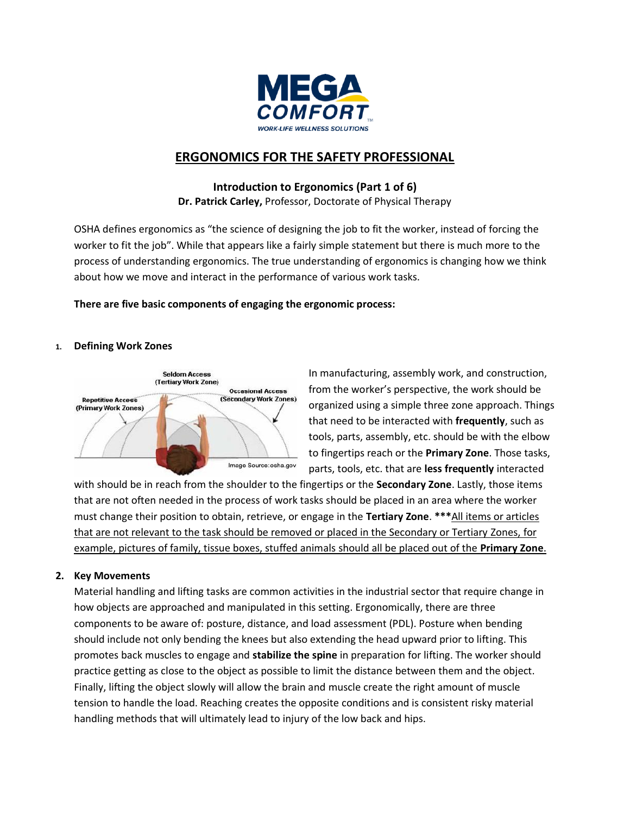

# **ERGONOMICS FOR THE SAFETY PROFESSIONAL**

# **Introduction to Ergonomics (Part 1 of 6) Dr. Patrick Carley,** Professor, Doctorate of Physical Therapy

OSHA defines ergonomics as "the science of designing the job to fit the worker, instead of forcing the worker to fit the job". While that appears like a fairly simple statement but there is much more to the process of understanding ergonomics. The true understanding of ergonomics is changing how we think about how we move and interact in the performance of various work tasks.

# **There are five basic components of engaging the ergonomic process:**

# **1. Defining Work Zones**



In manufacturing, assembly work, and construction, from the worker's perspective, the work should be organized using a simple three zone approach. Things that need to be interacted with **frequently**, such as tools, parts, assembly, etc. should be with the elbow to fingertips reach or the **Primary Zone**. Those tasks, parts, tools, etc. that are **less frequently** interacted

with should be in reach from the shoulder to the fingertips or the **Secondary Zone**. Lastly, those items that are not often needed in the process of work tasks should be placed in an area where the worker must change their position to obtain, retrieve, or engage in the **Tertiary Zone**. **\*\*\***All items or articles that are not relevant to the task should be removed or placed in the Secondary or Tertiary Zones, for example, pictures of family, tissue boxes, stuffed animals should all be placed out of the **Primary Zone**.

# **2. Key Movements**

Material handling and lifting tasks are common activities in the industrial sector that require change in how objects are approached and manipulated in this setting. Ergonomically, there are three components to be aware of: posture, distance, and load assessment (PDL). Posture when bending should include not only bending the knees but also extending the head upward prior to lifting. This promotes back muscles to engage and **stabilize the spine** in preparation for lifting. The worker should practice getting as close to the object as possible to limit the distance between them and the object. Finally, lifting the object slowly will allow the brain and muscle create the right amount of muscle tension to handle the load. Reaching creates the opposite conditions and is consistent risky material handling methods that will ultimately lead to injury of the low back and hips.